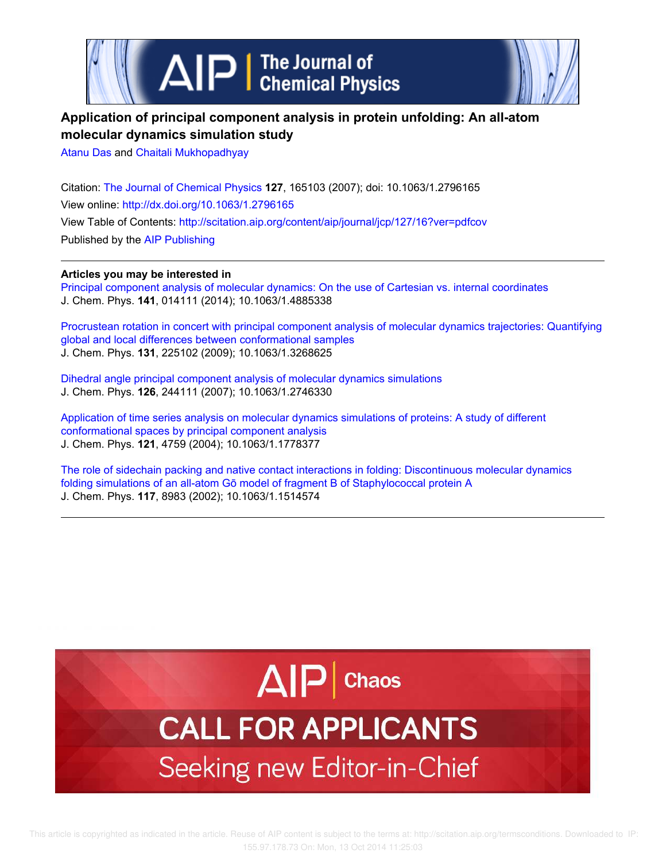

## **Application of principal component analysis in protein unfolding: An all-atom molecular dynamics simulation study**

Atanu Das and Chaitali Mukhopadhyay

Citation: The Journal of Chemical Physics **127**, 165103 (2007); doi: 10.1063/1.2796165 View online: http://dx.doi.org/10.1063/1.2796165 View Table of Contents: http://scitation.aip.org/content/aip/journal/jcp/127/16?ver=pdfcov Published by the AIP Publishing

**Articles you may be interested in**

Principal component analysis of molecular dynamics: On the use of Cartesian vs. internal coordinates J. Chem. Phys. **141**, 014111 (2014); 10.1063/1.4885338

Procrustean rotation in concert with principal component analysis of molecular dynamics trajectories: Quantifying global and local differences between conformational samples J. Chem. Phys. **131**, 225102 (2009); 10.1063/1.3268625

Dihedral angle principal component analysis of molecular dynamics simulations J. Chem. Phys. **126**, 244111 (2007); 10.1063/1.2746330

Application of time series analysis on molecular dynamics simulations of proteins: A study of different conformational spaces by principal component analysis J. Chem. Phys. **121**, 4759 (2004); 10.1063/1.1778377

The role of sidechain packing and native contact interactions in folding: Discontinuous molecular dynamics folding simulations of an all-atom Gō model of fragment B of Staphylococcal protein A J. Chem. Phys. **117**, 8983 (2002); 10.1063/1.1514574

# $\Delta$  $\vert$ P  $\vert$  Chaos

# **CALL FOR APPLICANTS** Seeking new Editor-in-Chief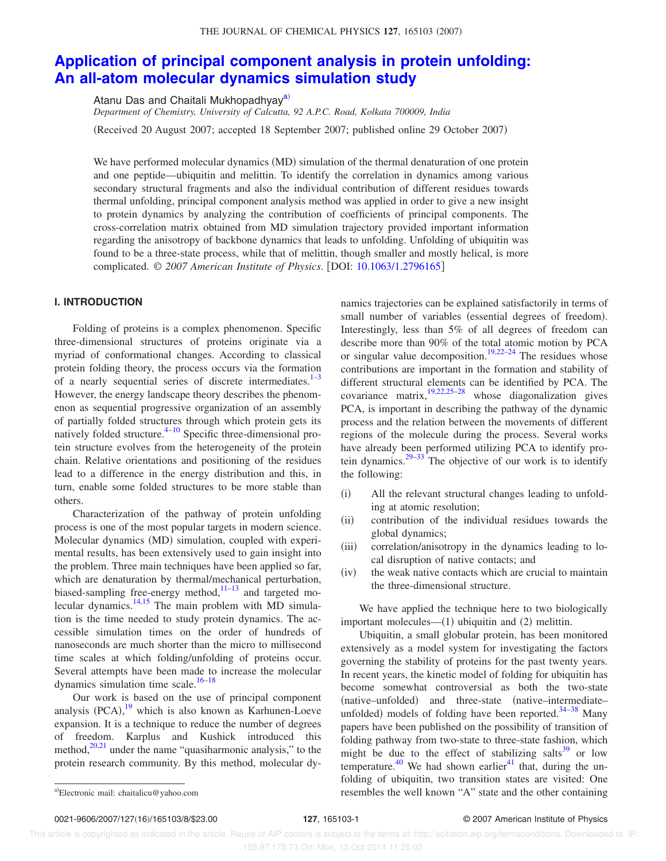#### THE JOURNAL OF CHEMICAL PHYSICS 127, 165103 (2007)

### **Application of principal component analysis in protein unfolding: An all-atom molecular dynamics simulation study**

Atanu Das and Chaitali Mukhopadhyay<sup>a)</sup>

*Department of Chemistry, University of Calcutta, 92 A.P.C. Road, Kolkata 700009, India*

(Received 20 August 2007; accepted 18 September 2007; published online 29 October 2007)

We have performed molecular dynamics (MD) simulation of the thermal denaturation of one protein and one peptide—ubiquitin and melittin. To identify the correlation in dynamics among various secondary structural fragments and also the individual contribution of different residues towards thermal unfolding, principal component analysis method was applied in order to give a new insight to protein dynamics by analyzing the contribution of coefficients of principal components. The cross-correlation matrix obtained from MD simulation trajectory provided important information regarding the anisotropy of backbone dynamics that leads to unfolding. Unfolding of ubiquitin was found to be a three-state process, while that of melittin, though smaller and mostly helical, is more complicated. © *2007 American Institute of Physics*. DOI: 10.1063/1.2796165

#### **I. INTRODUCTION**

Folding of proteins is a complex phenomenon. Specific three-dimensional structures of proteins originate via a myriad of conformational changes. According to classical protein folding theory, the process occurs via the formation of a nearly sequential series of discrete intermediates. $1-3$ However, the energy landscape theory describes the phenomenon as sequential progressive organization of an assembly of partially folded structures through which protein gets its natively folded structure. $4-10$  Specific three-dimensional protein structure evolves from the heterogeneity of the protein chain. Relative orientations and positioning of the residues lead to a difference in the energy distribution and this, in turn, enable some folded structures to be more stable than others.

Characterization of the pathway of protein unfolding process is one of the most popular targets in modern science. Molecular dynamics (MD) simulation, coupled with experimental results, has been extensively used to gain insight into the problem. Three main techniques have been applied so far, which are denaturation by thermal/mechanical perturbation, biased-sampling free-energy method, $11-13$  and targeted molecular dynamics.<sup>14,15</sup> The main problem with MD simulation is the time needed to study protein dynamics. The accessible simulation times on the order of hundreds of nanoseconds are much shorter than the micro to millisecond time scales at which folding/unfolding of proteins occur. Several attempts have been made to increase the molecular dynamics simulation time scale. $16-18$ 

Our work is based on the use of principal component analysis  $(PCA)$ ,  $^{19}$  which is also known as Karhunen-Loeve expansion. It is a technique to reduce the number of degrees of freedom. Karplus and Kushick introduced this method, $20,21$  under the name "quasiharmonic analysis," to the protein research community. By this method, molecular dynamics trajectories can be explained satisfactorily in terms of small number of variables (essential degrees of freedom). Interestingly, less than 5% of all degrees of freedom can describe more than 90% of the total atomic motion by PCA or singular value decomposition.<sup>19,22–24</sup> The residues whose contributions are important in the formation and stability of different structural elements can be identified by PCA. The covariance matrix, $\frac{19,22,25-28}{19,22,25-28}$  whose diagonalization gives PCA, is important in describing the pathway of the dynamic process and the relation between the movements of different regions of the molecule during the process. Several works have already been performed utilizing PCA to identify protein dynamics. $29-33$  The objective of our work is to identify the following:

- $(i)$  All the relevant structural changes leading to unfolding at atomic resolution;
- $(ii)$  contribution of the individual residues towards the global dynamics;
- $(iii)$  correlation/anisotropy in the dynamics leading to local disruption of native contacts; and
- $(iv)$  the weak native contacts which are crucial to maintain the three-dimensional structure.

We have applied the technique here to two biologically important molecules— $(1)$  ubiquitin and  $(2)$  melittin.

Ubiquitin, a small globular protein, has been monitored extensively as a model system for investigating the factors governing the stability of proteins for the past twenty years. In recent years, the kinetic model of folding for ubiquitin has become somewhat controversial as both the two-state (native–unfolded) and three-state (native–intermediate– unfolded) models of folding have been reported.<sup>34–38</sup> Many papers have been published on the possibility of transition of folding pathway from two-state to three-state fashion, which might be due to the effect of stabilizing salts<sup>39</sup> or low temperature.<sup>40</sup> We had shown earlier<sup>41</sup> that, during the unfolding of ubiquitin, two transition states are visited: One resembles the well known "A" state and the other containing

Electronic mail: chaitalicu@yahoo.com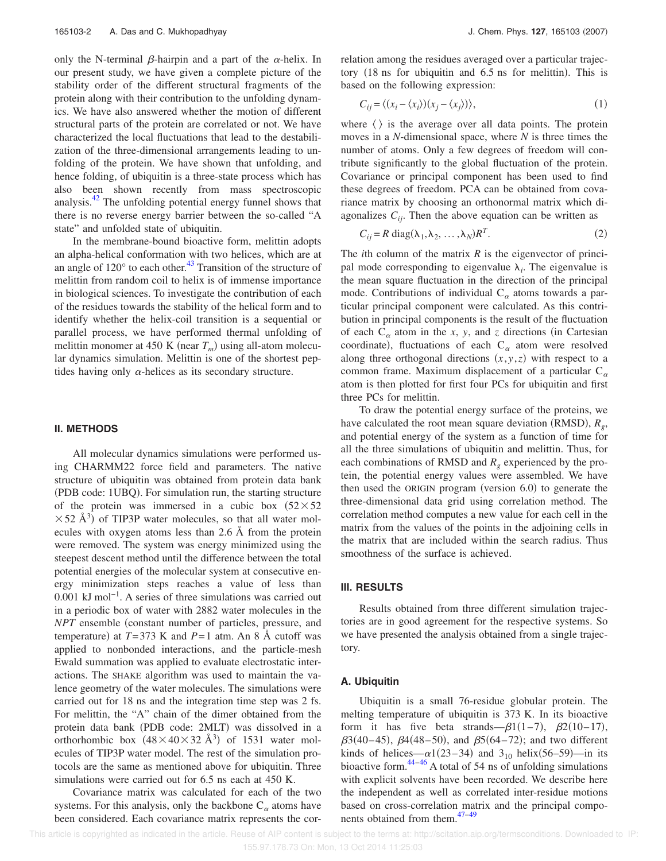only the N-terminal  $\beta$ -hairpin and a part of the  $\alpha$ -helix. In our present study, we have given a complete picture of the stability order of the different structural fragments of the protein along with their contribution to the unfolding dynamics. We have also answered whether the motion of different structural parts of the protein are correlated or not. We have characterized the local fluctuations that lead to the destabilization of the three-dimensional arrangements leading to unfolding of the protein. We have shown that unfolding, and hence folding, of ubiquitin is a three-state process which has also been shown recently from mass spectroscopic analysis.<sup>42</sup> The unfolding potential energy funnel shows that there is no reverse energy barrier between the so-called "A state" and unfolded state of ubiquitin.

In the membrane-bound bioactive form, melittin adopts an alpha-helical conformation with two helices, which are at an angle of  $120^\circ$  to each other.<sup>43</sup> Transition of the structure of melittin from random coil to helix is of immense importance in biological sciences. To investigate the contribution of each of the residues towards the stability of the helical form and to identify whether the helix-coil transition is a sequential or parallel process, we have performed thermal unfolding of melittin monomer at 450 K (near  $T_m$ ) using all-atom molecular dynamics simulation. Melittin is one of the shortest peptides having only  $\alpha$ -helices as its secondary structure.

#### **II. METHODS**

All molecular dynamics simulations were performed using CHARMM22 force field and parameters. The native structure of ubiquitin was obtained from protein data bank (PDB code: 1UBQ). For simulation run, the starting structure of the protein was immersed in a cubic box  $(52 \times 52)$  $\times$  52 Å<sup>3</sup>) of TIP3P water molecules, so that all water molecules with oxygen atoms less than 2.6 Å from the protein were removed. The system was energy minimized using the steepest descent method until the difference between the total potential energies of the molecular system at consecutive energy minimization steps reaches a value of less than 0.001 kJ mol−1. A series of three simulations was carried out in a periodic box of water with 2882 water molecules in the *NPT* ensemble (constant number of particles, pressure, and temperature) at  $T = 373$  K and  $P = 1$  atm. An 8 Å cutoff was applied to nonbonded interactions, and the particle-mesh Ewald summation was applied to evaluate electrostatic interactions. The SHAKE algorithm was used to maintain the valence geometry of the water molecules. The simulations were carried out for 18 ns and the integration time step was 2 fs. For melittin, the "A" chain of the dimer obtained from the protein data bank (PDB code: 2MLT) was dissolved in a orthorhombic box  $(48 \times 40 \times 32 \text{ Å}^3)$  of 1531 water molecules of TIP3P water model. The rest of the simulation protocols are the same as mentioned above for ubiquitin. Three simulations were carried out for 6.5 ns each at 450 K.

Covariance matrix was calculated for each of the two systems. For this analysis, only the backbone  $C_{\alpha}$  atoms have been considered. Each covariance matrix represents the correlation among the residues averaged over a particular trajectory  $(18 \text{ ns}$  for ubiquitin and  $6.5 \text{ ns}$  for melittin). This is based on the following expression:

$$
C_{ij} = \langle (x_i - \langle x_i \rangle)(x_j - \langle x_j \rangle) \rangle, \tag{1}
$$

where  $\langle \rangle$  is the average over all data points. The protein moves in a *N*-dimensional space, where *N* is three times the number of atoms. Only a few degrees of freedom will contribute significantly to the global fluctuation of the protein. Covariance or principal component has been used to find these degrees of freedom. PCA can be obtained from covariance matrix by choosing an orthonormal matrix which diagonalizes  $C_{ij}$ . Then the above equation can be written as

$$
C_{ij} = R \operatorname{diag}(\lambda_1, \lambda_2, \dots, \lambda_N) R^T. \tag{2}
$$

The *i*th column of the matrix *R* is the eigenvector of principal mode corresponding to eigenvalue  $\lambda_i$ . The eigenvalue is the mean square fluctuation in the direction of the principal mode. Contributions of individual  $C_\alpha$  atoms towards a particular principal component were calculated. As this contribution in principal components is the result of the fluctuation of each  $C_\alpha$  atom in the *x*, *y*, and *z* directions (in Cartesian coordinate), fluctuations of each  $C_\alpha$  atom were resolved along three orthogonal directions  $(x, y, z)$  with respect to a common frame. Maximum displacement of a particular  $C_{\alpha}$ atom is then plotted for first four PCs for ubiquitin and first three PCs for melittin.

To draw the potential energy surface of the proteins, we have calculated the root mean square deviation (RMSD),  $R_g$ , and potential energy of the system as a function of time for all the three simulations of ubiquitin and melittin. Thus, for each combinations of RMSD and *R<sup>g</sup>* experienced by the protein, the potential energy values were assembled. We have then used the ORIGIN program (version  $6.0$ ) to generate the three-dimensional data grid using correlation method. The correlation method computes a new value for each cell in the matrix from the values of the points in the adjoining cells in the matrix that are included within the search radius. Thus smoothness of the surface is achieved.

#### **III. RESULTS**

Results obtained from three different simulation trajectories are in good agreement for the respective systems. So we have presented the analysis obtained from a single trajectory.

#### **A. Ubiquitin**

Ubiquitin is a small 76-residue globular protein. The melting temperature of ubiquitin is 373 K. In its bioactive form it has five beta strands— $\beta$ 1(1-7),  $\beta$ 2(10-17),  $\beta$ 3(40–45),  $\beta$ 4(48–50), and  $\beta$ 5(64–72); and two different kinds of helices— $\alpha$ 1(23–34) and 3<sub>10</sub> helix(56–59)—in its bioactive form. $44-46$  A total of 54 ns of unfolding simulations with explicit solvents have been recorded. We describe here the independent as well as correlated inter-residue motions based on cross-correlation matrix and the principal components obtained from them.47–49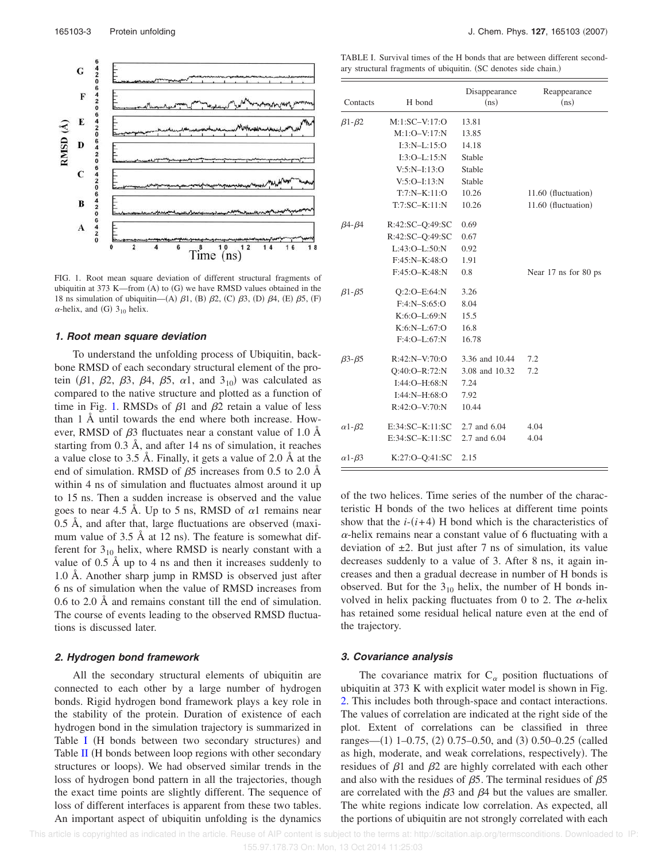

FIG. 1. Root mean square deviation of different structural fragments of ubiquitin at 373 K—from  $(A)$  to  $(G)$  we have RMSD values obtained in the 18 ns simulation of ubiquitin—(A)  $\beta$ 1, (B)  $\beta$ 2, (C)  $\beta$ 3, (D)  $\beta$ 4, (E)  $\beta$ 5, (F)  $\alpha$ -helix, and (G) 3<sub>10</sub> helix.

#### **1. Root mean square deviation**

To understand the unfolding process of Ubiquitin, backbone RMSD of each secondary structural element of the protein ( $\beta$ 1,  $\beta$ 2,  $\beta$ 3,  $\beta$ 4,  $\beta$ 5,  $\alpha$ 1, and 3<sub>10</sub>) was calculated as compared to the native structure and plotted as a function of time in Fig. 1. RMSDs of  $\beta$ 1 and  $\beta$ 2 retain a value of less than 1 Å until towards the end where both increase. However, RMSD of  $\beta$ 3 fluctuates near a constant value of 1.0 Å starting from 0.3 Å, and after 14 ns of simulation, it reaches a value close to 3.5 Å. Finally, it gets a value of 2.0 Å at the end of simulation. RMSD of  $\beta$ 5 increases from 0.5 to 2.0 Å within 4 ns of simulation and fluctuates almost around it up to 15 ns. Then a sudden increase is observed and the value goes to near 4.5 Å. Up to 5 ns, RMSD of  $\alpha$ 1 remains near  $0.5$  Å, and after that, large fluctuations are observed (maximum value of  $3.5 \text{ Å}$  at 12 ns). The feature is somewhat different for  $3_{10}$  helix, where RMSD is nearly constant with a value of 0.5 Å up to 4 ns and then it increases suddenly to 1.0 Å. Another sharp jump in RMSD is observed just after 6 ns of simulation when the value of RMSD increases from 0.6 to 2.0 Å and remains constant till the end of simulation. The course of events leading to the observed RMSD fluctuations is discussed later.

#### **2. Hydrogen bond framework**

All the secondary structural elements of ubiquitin are connected to each other by a large number of hydrogen bonds. Rigid hydrogen bond framework plays a key role in the stability of the protein. Duration of existence of each hydrogen bond in the simulation trajectory is summarized in Table I (H bonds between two secondary structures) and Table  $II$  (H bonds between loop regions with other secondary structures or loops). We had observed similar trends in the loss of hydrogen bond pattern in all the trajectories, though the exact time points are slightly different. The sequence of loss of different interfaces is apparent from these two tables. An important aspect of ubiquitin unfolding is the dynamics

TABLE I. Survival times of the H bonds that are between different secondary structural fragments of ubiquitin. (SC denotes side chain.)

| Contacts              | H bond            | Disappearance<br>(ns) | Reappearance<br>(ns) |
|-----------------------|-------------------|-----------------------|----------------------|
| $\beta$ 1- $\beta$ 2  | $M:1:SC-V:17:O$   | 13.81                 |                      |
|                       | $M:1:O-V:17:N$    | 13.85                 |                      |
|                       | $I:3:N-L:15:O$    | 14.18                 |                      |
|                       | $I:3:O-L:15:N$    | Stable                |                      |
|                       | $V:5:N-I:13:O$    | Stable                |                      |
|                       | $V:5:O-I:13:N$    | Stable                |                      |
|                       | $T:7:N-K:11:O$    | 10.26                 | 11.60 (fluctuation)  |
|                       | $T:7:SC-K:11:N$   | 10.26                 | 11.60 (fluctuation)  |
| $\beta$ 4- $\beta$ 4  | R:42:SC-Q:49:SC   | 0.69                  |                      |
|                       | R:42:SC-Q:49:SC   | 0.67                  |                      |
|                       | $L:43:O-L:50:N$   | 0.92                  |                      |
|                       | $F:45: N-K:48:O$  | 1.91                  |                      |
|                       | F:45:O-K:48:N     | 0.8                   | Near 17 ns for 80 ps |
| $\beta$ 1- $\beta$ 5  | $Q:2:O-E:64:N$    | 3.26                  |                      |
|                       | $F:4: N-S:65:O$   | 8.04                  |                      |
|                       | K:6:O-L:69:N      | 15.5                  |                      |
|                       | $K:6:N-L:67:O$    | 16.8                  |                      |
|                       | $F:4:O-L:67:N$    | 16.78                 |                      |
| $\beta$ 3- $\beta$ 5  | $R:42:N-V:70:O$   | 3.36 and 10.44        | 7.2                  |
|                       | $Q:40:O-R:72:N$   | 3.08 and 10.32        | 7.2                  |
|                       | $I:44:O-H:68:N$   | 7.24                  |                      |
|                       | $I:44: N-H:68:O$  | 7.92                  |                      |
|                       | $R:42:O-V:70:N$   | 10.44                 |                      |
| $\alpha$ 1- $\beta$ 2 | $E:34:SC-K:11:SC$ | 2.7 and 6.04          | 4.04                 |
|                       | E:34:SC-K:11:SC   | 2.7 and 6.04          | 4.04                 |
| $\alpha$ 1- $\beta$ 3 | $K:27:O-O:41:SC$  | 2.15                  |                      |

of the two helices. Time series of the number of the characteristic H bonds of the two helices at different time points show that the  $i-(i+4)$  H bond which is the characteristics of  $\alpha$ -helix remains near a constant value of 6 fluctuating with a deviation of  $\pm 2$ . But just after 7 ns of simulation, its value decreases suddenly to a value of 3. After 8 ns, it again increases and then a gradual decrease in number of H bonds is observed. But for the  $3_{10}$  helix, the number of H bonds involved in helix packing fluctuates from 0 to 2. The  $\alpha$ -helix has retained some residual helical nature even at the end of the trajectory.

#### **3. Covariance analysis**

The covariance matrix for  $C_{\alpha}$  position fluctuations of ubiquitin at 373 K with explicit water model is shown in Fig. 2. This includes both through-space and contact interactions. The values of correlation are indicated at the right side of the plot. Extent of correlations can be classified in three ranges—(1) 1–0.75, (2) 0.75–0.50, and (3) 0.50–0.25 (called as high, moderate, and weak correlations, respectively). The residues of  $\beta$ 1 and  $\beta$ 2 are highly correlated with each other and also with the residues of  $\beta$ 5. The terminal residues of  $\beta$ 5 are correlated with the  $\beta$ 3 and  $\beta$ 4 but the values are smaller. The white regions indicate low correlation. As expected, all the portions of ubiquitin are not strongly correlated with each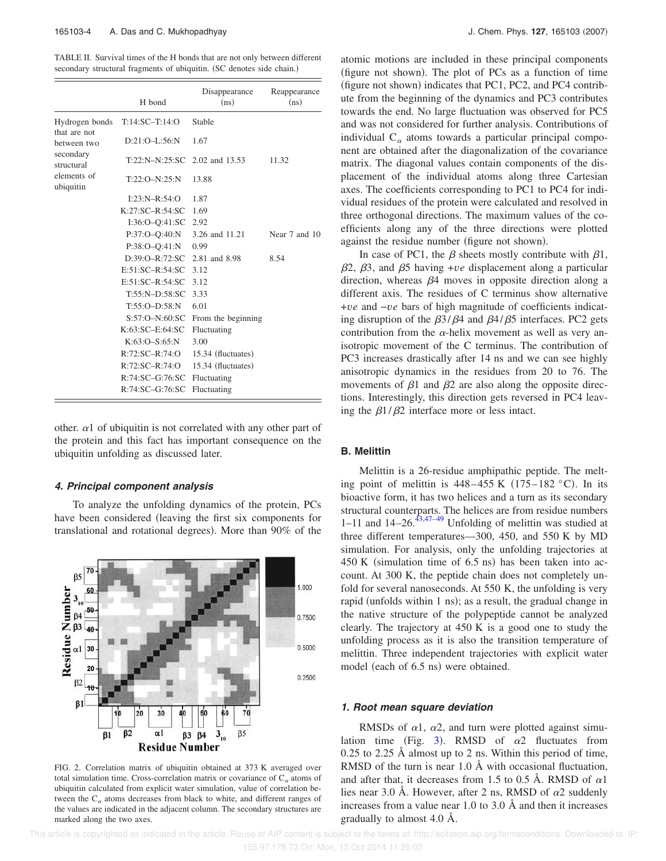TABLE II. Survival times of the H bonds that are not only between different secondary structural fragments of ubiquitin. (SC denotes side chain.)

|                                | H bond            | Disappearance<br>(ns) | Reappearance<br>(ns) |
|--------------------------------|-------------------|-----------------------|----------------------|
| Hydrogen bonds<br>that are not | $T:14:SC-T:14:O$  | Stable                |                      |
| between two                    | $D:21:O-L:56:N$   | 1.67                  |                      |
| secondary<br>structural        | T:22:N-N:25:SC    | 2.02 and 13.53        | 11.32                |
| elements of<br>ubiquitin       | $T:22:O-N:25:N$   | 13.88                 |                      |
|                                | $I:23:N-R:54:O$   | 1.87                  |                      |
|                                | $K:27:SC-R:54:SC$ | 1.69                  |                      |
|                                | $I:36:O-O:41:SC$  | 2.92                  |                      |
|                                | $P:37:O-O:40:N$   | 3.26 and 11.21        | Near 7 and 10        |
|                                | $P:38:O-O:41:N$   | 0.99                  |                      |
|                                | $D:39:0-R:72:SC$  | 2.81 and 8.98         | 8.54                 |
|                                | $E:51:SC-R:54:SC$ | 3.12                  |                      |
|                                | E:51:SC-R:54:SC   | 3.12                  |                      |
|                                | $T:55: N-D:58:SC$ | 3.33                  |                      |
|                                | $T:55:O-D:58:N$   | 6.01                  |                      |
|                                | $S:57:O-N:60:SC$  | From the beginning    |                      |
|                                | $K:63:SC-E:64:SC$ | Fluctuating           |                      |
|                                | $K:63:O-S:65:N$   | 3.00                  |                      |
|                                | R:72:SC–R:74:O    | 15.34 (fluctuates)    |                      |
|                                | $R:72:SC-R:74:O$  | 15.34 (fluctuates)    |                      |
|                                | R:74:SC-G:76:SC   | Fluctuating           |                      |
|                                | $R:74:SC-G:76:SC$ | Fluctuating           |                      |

other.  $\alpha$ 1 of ubiquitin is not correlated with any other part of the protein and this fact has important consequence on the ubiquitin unfolding as discussed later.

#### **4. Principal component analysis**

To analyze the unfolding dynamics of the protein, PCs have been considered (leaving the first six components for translational and rotational degrees). More than 90% of the



FIG. 2. Correlation matrix of ubiquitin obtained at 373 K averaged over total simulation time. Cross-correlation matrix or covariance of  $C_{\alpha}$  atoms of ubiquitin calculated from explicit water simulation, value of correlation between the  $C_{\alpha}$  atoms decreases from black to white, and different ranges of the values are indicated in the adjacent column. The secondary structures are marked along the two axes.

atomic motions are included in these principal components (figure not shown). The plot of PCs as a function of time (figure not shown) indicates that PC1, PC2, and PC4 contribute from the beginning of the dynamics and PC3 contributes towards the end. No large fluctuation was observed for PC5 and was not considered for further analysis. Contributions of individual  $C_{\alpha}$  atoms towards a particular principal component are obtained after the diagonalization of the covariance matrix. The diagonal values contain components of the displacement of the individual atoms along three Cartesian axes. The coefficients corresponding to PC1 to PC4 for individual residues of the protein were calculated and resolved in three orthogonal directions. The maximum values of the coefficients along any of the three directions were plotted against the residue number (figure not shown).

In case of PC1, the  $\beta$  sheets mostly contribute with  $\beta$ 1,  $\beta$ 2,  $\beta$ 3, and  $\beta$ 5 having +*ve* displacement along a particular direction, whereas  $\beta$ 4 moves in opposite direction along a different axis. The residues of C terminus show alternative +*ve* and −*ve* bars of high magnitude of coefficients indicating disruption of the  $\beta 3/\beta 4$  and  $\beta 4/\beta 5$  interfaces. PC2 gets contribution from the  $\alpha$ -helix movement as well as very anisotropic movement of the C terminus. The contribution of PC3 increases drastically after 14 ns and we can see highly anisotropic dynamics in the residues from 20 to 76. The movements of  $\beta$ 1 and  $\beta$ 2 are also along the opposite directions. Interestingly, this direction gets reversed in PC4 leaving the  $\beta$ 1/ $\beta$ 2 interface more or less intact.

#### **B. Melittin**

Melittin is a 26-residue amphipathic peptide. The melting point of melittin is  $448-455$  K  $(175-182 \degree C)$ . In its bioactive form, it has two helices and a turn as its secondary structural counterparts. The helices are from residue numbers 1–11 and  $14-26.\frac{43,47-49}{\pi}$  Unfolding of melittin was studied at three different temperatures—300, 450, and 550 K by MD simulation. For analysis, only the unfolding trajectories at  $450$  K (simulation time of 6.5 ns) has been taken into account. At 300 K, the peptide chain does not completely unfold for several nanoseconds. At 550 K, the unfolding is very rapid (unfolds within 1 ns); as a result, the gradual change in the native structure of the polypeptide cannot be analyzed clearly. The trajectory at 450 K is a good one to study the unfolding process as it is also the transition temperature of melittin. Three independent trajectories with explicit water model (each of 6.5 ns) were obtained.

#### **1. Root mean square deviation**

RMSDs of  $\alpha$ 1,  $\alpha$ 2, and turn were plotted against simulation time (Fig. 3). RMSD of  $\alpha$ 2 fluctuates from 0.25 to 2.25 Å almost up to 2 ns. Within this period of time, RMSD of the turn is near 1.0 Å with occasional fluctuation, and after that, it decreases from 1.5 to 0.5 Å. RMSD of  $\alpha$ 1 lies near 3.0 Å. However, after 2 ns, RMSD of  $\alpha$ 2 suddenly increases from a value near 1.0 to 3.0 Å and then it increases gradually to almost 4.0 Å.

 This article is copyrighted as indicated in the article. Reuse of AIP content is subject to the terms at: http://scitation.aip.org/termsconditions. Downloaded to IP: 155.97.178.73 On: Mon, 13 Oct 2014 11:25:03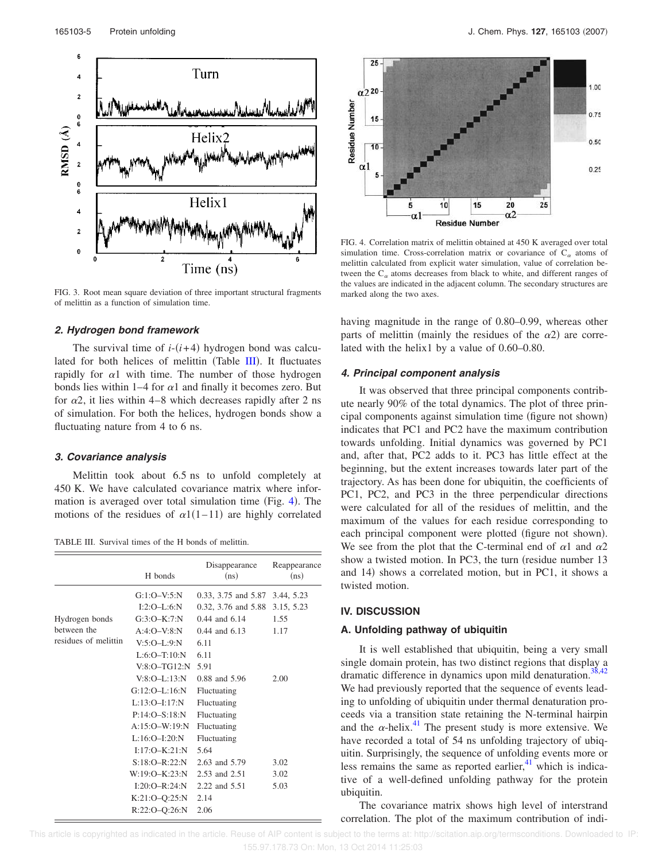

FIG. 3. Root mean square deviation of three important structural fragments of melittin as a function of simulation time.

#### **2. Hydrogen bond framework**

The survival time of  $i-(i+4)$  hydrogen bond was calculated for both helices of melittin (Table III). It fluctuates rapidly for  $\alpha$ 1 with time. The number of those hydrogen bonds lies within 1–4 for  $\alpha$ 1 and finally it becomes zero. But for  $\alpha$ 2, it lies within 4–8 which decreases rapidly after 2 ns of simulation. For both the helices, hydrogen bonds show a fluctuating nature from 4 to 6 ns.

#### **3. Covariance analysis**

Melittin took about 6.5 ns to unfold completely at 450 K. We have calculated covariance matrix where information is averaged over total simulation time (Fig. 4). The motions of the residues of  $\alpha$ 1(1-11) are highly correlated

TABLE III. Survival times of the H bonds of melittin.

|                      | H bonds         | Disappearance<br>(ns) | Reappearance<br>(ns) |
|----------------------|-----------------|-----------------------|----------------------|
|                      | $G:1:O-V:5:N$   | 0.33, 3.75 and 5.87   | 3.44, 5.23           |
|                      | $I:2:O-L:6:N$   | 0.32, 3.76 and 5.88   | 3.15, 5.23           |
| Hydrogen bonds       | $G:3:O-K:7:N$   | $0.44$ and $6.14$     | 1.55                 |
| between the          | $A:4:O-V:8:N$   | $0.44$ and $6.13$     | 1.17                 |
| residues of melittin | $V:5:O-L:9:N$   | 6.11                  |                      |
|                      | $L:6:O-T:10:N$  | 6.11                  |                      |
|                      | $V:8:O-TG12:N$  | 5.91                  |                      |
|                      | $V:8:O-L:13:N$  | 0.88 and 5.96         | 2.00                 |
|                      | $G:12:O-L:16:N$ | Fluctuating           |                      |
|                      | $L:13:O-I:17:N$ | Fluctuating           |                      |
|                      | $P:14:O-S:18:N$ | Fluctuating           |                      |
|                      | A:15:O-W:19:N   | Fluctuating           |                      |
|                      | L:16:O-I:20:N   | Fluctuating           |                      |
|                      | $I:17:O-K:21:N$ | 5.64                  |                      |
|                      | $S:18:O-R:22:N$ | 2.63 and 5.79         | 3.02                 |
|                      | W:19:O-K:23:N   | 2.53 and 2.51         | 3.02                 |
|                      | $I:20:O-R:24:N$ | 2.22 and 5.51         | 5.03                 |
|                      | $K:21:O-Q:25:N$ | 2.14                  |                      |
|                      | $R:22:O-Q:26:N$ | 2.06                  |                      |
|                      |                 |                       |                      |



FIG. 4. Correlation matrix of melittin obtained at 450 K averaged over total simulation time. Cross-correlation matrix or covariance of  $C_{\alpha}$  atoms of melittin calculated from explicit water simulation, value of correlation between the  $C_\alpha$  atoms decreases from black to white, and different ranges of the values are indicated in the adjacent column. The secondary structures are marked along the two axes.

having magnitude in the range of 0.80–0.99, whereas other parts of melittin (mainly the residues of the  $\alpha$ 2) are correlated with the helix1 by a value of 0.60–0.80.

#### **4. Principal component analysis**

It was observed that three principal components contribute nearly 90% of the total dynamics. The plot of three principal components against simulation time (figure not shown) indicates that PC1 and PC2 have the maximum contribution towards unfolding. Initial dynamics was governed by PC1 and, after that, PC2 adds to it. PC3 has little effect at the beginning, but the extent increases towards later part of the trajectory. As has been done for ubiquitin, the coefficients of PC1, PC2, and PC3 in the three perpendicular directions were calculated for all of the residues of melittin, and the maximum of the values for each residue corresponding to each principal component were plotted (figure not shown). We see from the plot that the C-terminal end of  $\alpha$ 1 and  $\alpha$ 2 show a twisted motion. In PC3, the turn (residue number 13 and 14) shows a correlated motion, but in PC1, it shows a twisted motion.

#### **IV. DISCUSSION**

#### **A. Unfolding pathway of ubiquitin**

It is well established that ubiquitin, being a very small single domain protein, has two distinct regions that display a dramatic difference in dynamics upon mild denaturation.<sup>3</sup> We had previously reported that the sequence of events leading to unfolding of ubiquitin under thermal denaturation proceeds via a transition state retaining the N-terminal hairpin and the  $\alpha$ -helix.<sup>41</sup> The present study is more extensive. We have recorded a total of 54 ns unfolding trajectory of ubiquitin. Surprisingly, the sequence of unfolding events more or less remains the same as reported earlier, $41$  which is indicative of a well-defined unfolding pathway for the protein ubiquitin.

The covariance matrix shows high level of interstrand correlation. The plot of the maximum contribution of indi-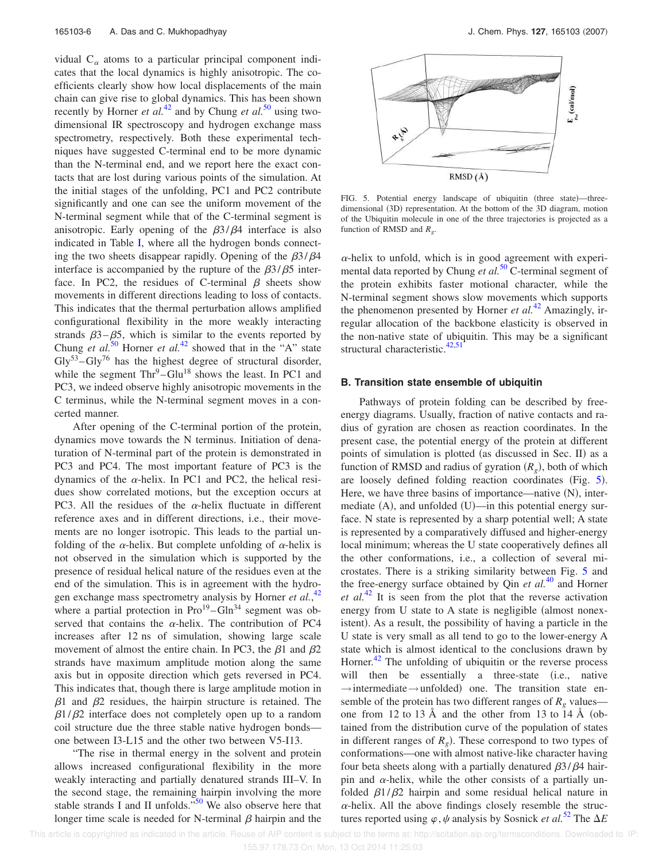vidual  $C_\alpha$  atoms to a particular principal component indicates that the local dynamics is highly anisotropic. The coefficients clearly show how local displacements of the main chain can give rise to global dynamics. This has been shown recently by Horner *et al.*<sup>42</sup> and by Chung *et al.*<sup>50</sup> using twodimensional IR spectroscopy and hydrogen exchange mass spectrometry, respectively. Both these experimental techniques have suggested C-terminal end to be more dynamic than the N-terminal end, and we report here the exact contacts that are lost during various points of the simulation. At the initial stages of the unfolding, PC1 and PC2 contribute significantly and one can see the uniform movement of the N-terminal segment while that of the C-terminal segment is anisotropic. Early opening of the  $\beta 3/\beta 4$  interface is also indicated in Table I, where all the hydrogen bonds connecting the two sheets disappear rapidly. Opening of the  $\beta 3/\beta 4$ interface is accompanied by the rupture of the  $\beta$ 3/ $\beta$ 5 interface. In PC2, the residues of C-terminal  $\beta$  sheets show movements in different directions leading to loss of contacts. This indicates that the thermal perturbation allows amplified configurational flexibility in the more weakly interacting strands  $\beta$ 3- $\beta$ 5, which is similar to the events reported by Chung *et al.*<sup>50</sup> Horner *et al.*<sup>42</sup> showed that in the "A" state  $Gly<sup>53</sup> - Gly<sup>76</sup>$  has the highest degree of structural disorder, while the segment  $Thr^9 - Glu^{18}$  shows the least. In PC1 and PC3, we indeed observe highly anisotropic movements in the C terminus, while the N-terminal segment moves in a concerted manner.

After opening of the C-terminal portion of the protein, dynamics move towards the N terminus. Initiation of denaturation of N-terminal part of the protein is demonstrated in PC3 and PC4. The most important feature of PC3 is the dynamics of the  $\alpha$ -helix. In PC1 and PC2, the helical residues show correlated motions, but the exception occurs at PC3. All the residues of the  $\alpha$ -helix fluctuate in different reference axes and in different directions, i.e., their movements are no longer isotropic. This leads to the partial unfolding of the  $\alpha$ -helix. But complete unfolding of  $\alpha$ -helix is not observed in the simulation which is supported by the presence of residual helical nature of the residues even at the end of the simulation. This is in agreement with the hydrogen exchange mass spectrometry analysis by Horner *et al.*<sup>42</sup> where a partial protection in  $Pro<sup>19</sup>-Gln<sup>34</sup>$  segment was observed that contains the  $\alpha$ -helix. The contribution of PC4 increases after 12 ns of simulation, showing large scale movement of almost the entire chain. In PC3, the  $\beta$ 1 and  $\beta$ 2 strands have maximum amplitude motion along the same axis but in opposite direction which gets reversed in PC4. This indicates that, though there is large amplitude motion in  $\beta$ 1 and  $\beta$ 2 residues, the hairpin structure is retained. The  $\beta$ 1/ $\beta$ 2 interface does not completely open up to a random coil structure due the three stable native hydrogen bonds one between I3-L15 and the other two between V5-I13.

"The rise in thermal energy in the solvent and protein allows increased configurational flexibility in the more weakly interacting and partially denatured strands III–V. In the second stage, the remaining hairpin involving the more stable strands I and II unfolds.<sup>550</sup> We also observe here that longer time scale is needed for N-terminal  $\beta$  hairpin and the



FIG. 5. Potential energy landscape of ubiquitin (three state)—threedimensional (3D) representation. At the bottom of the 3D diagram, motion of the Ubiquitin molecule in one of the three trajectories is projected as a function of RMSD and *R<sup>g</sup>* .

 $\alpha$ -helix to unfold, which is in good agreement with experimental data reported by Chung *et al.*<sup>50</sup> C-terminal segment of the protein exhibits faster motional character, while the N-terminal segment shows slow movements which supports the phenomenon presented by Horner *et al.*<sup>42</sup> Amazingly, irregular allocation of the backbone elasticity is observed in the non-native state of ubiquitin. This may be a significant structural characteristic.<sup>42,51</sup>

#### **B. Transition state ensemble of ubiquitin**

Pathways of protein folding can be described by freeenergy diagrams. Usually, fraction of native contacts and radius of gyration are chosen as reaction coordinates. In the present case, the potential energy of the protein at different points of simulation is plotted (as discussed in Sec. II) as a function of RMSD and radius of gyration  $(R_g)$ , both of which are loosely defined folding reaction coordinates (Fig. 5). Here, we have three basins of importance—native (N), intermediate (A), and unfolded (U)—in this potential energy surface. N state is represented by a sharp potential well; A state is represented by a comparatively diffused and higher-energy local minimum; whereas the U state cooperatively defines all the other conformations, i.e., a collection of several microstates. There is a striking similarity between Fig. 5 and the free-energy surface obtained by Qin *et al.*<sup>40</sup> and Horner *et al.*<sup>42</sup> It is seen from the plot that the reverse activation energy from U state to A state is negligible (almost nonexistent). As a result, the possibility of having a particle in the U state is very small as all tend to go to the lower-energy A state which is almost identical to the conclusions drawn by Horner. $42$  The unfolding of ubiquitin or the reverse process will then be essentially a three-state (i.e., native  $\rightarrow$  intermediate  $\rightarrow$  unfolded) one. The transition state ensemble of the protein has two different ranges of  $R<sub>g</sub>$  values one from 12 to 13 Å and the other from 13 to 14 Å (obtained from the distribution curve of the population of states in different ranges of  $R_g$ ). These correspond to two types of conformations—one with almost native-like character having four beta sheets along with a partially denatured  $\beta$ 3/ $\beta$ 4 hairpin and  $\alpha$ -helix, while the other consists of a partially unfolded  $\beta$ 1/ $\beta$ 2 hairpin and some residual helical nature in  $\alpha$ -helix. All the above findings closely resemble the structures reported using  $\varphi$ ,  $\psi$  analysis by Sosnick *et al.*<sup>52</sup> The  $\Delta E$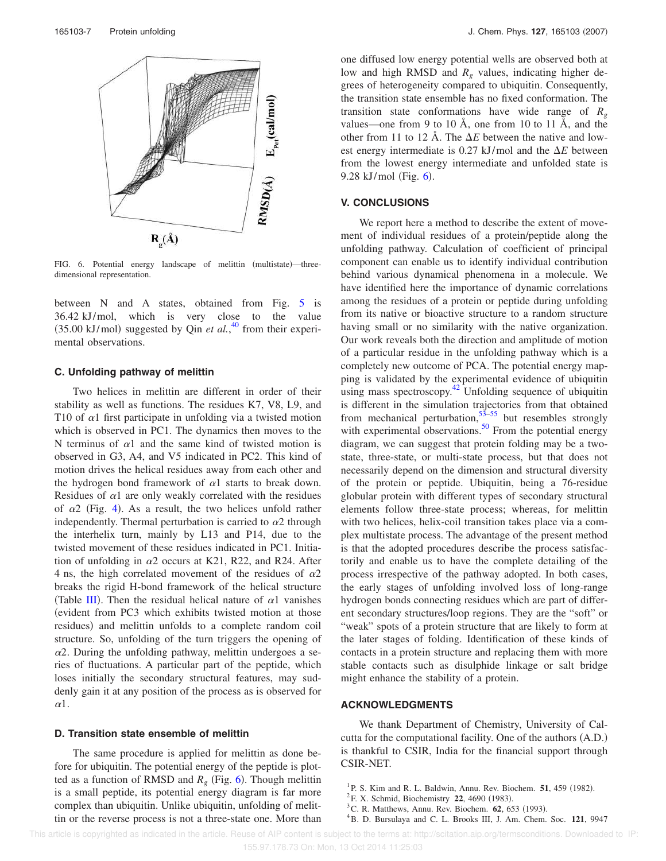

FIG. 6. Potential energy landscape of melittin (multistate)—threedimensional representation.

between N and A states, obtained from Fig. 5 is 36.42 kJ/mol, which is very close to the value  $(35.00 \text{ kJ/mol})$  suggested by Qin *et al.*,<sup>40</sup> from their experimental observations.

#### **C. Unfolding pathway of melittin**

Two helices in melittin are different in order of their stability as well as functions. The residues K7, V8, L9, and T10 of  $\alpha$ 1 first participate in unfolding via a twisted motion which is observed in PC1. The dynamics then moves to the N terminus of  $\alpha$ 1 and the same kind of twisted motion is observed in G3, A4, and V5 indicated in PC2. This kind of motion drives the helical residues away from each other and the hydrogen bond framework of  $\alpha$ 1 starts to break down. Residues of  $\alpha$ 1 are only weakly correlated with the residues of  $\alpha$ 2 (Fig. 4). As a result, the two helices unfold rather independently. Thermal perturbation is carried to  $\alpha$ 2 through the interhelix turn, mainly by L13 and P14, due to the twisted movement of these residues indicated in PC1. Initiation of unfolding in  $\alpha$ 2 occurs at K21, R22, and R24. After 4 ns, the high correlated movement of the residues of  $\alpha$ 2 breaks the rigid H-bond framework of the helical structure (Table III). Then the residual helical nature of  $\alpha$ 1 vanishes evident from PC3 which exhibits twisted motion at those residues) and melittin unfolds to a complete random coil structure. So, unfolding of the turn triggers the opening of  $\alpha$ 2. During the unfolding pathway, melittin undergoes a series of fluctuations. A particular part of the peptide, which loses initially the secondary structural features, may suddenly gain it at any position of the process as is observed for  $\alpha$ 1.

#### **D. Transition state ensemble of melittin**

The same procedure is applied for melittin as done before for ubiquitin. The potential energy of the peptide is plotted as a function of RMSD and  $R<sub>g</sub>$  (Fig. 6). Though melittin is a small peptide, its potential energy diagram is far more complex than ubiquitin. Unlike ubiquitin, unfolding of melittin or the reverse process is not a three-state one. More than

one diffused low energy potential wells are observed both at low and high RMSD and *R<sup>g</sup>* values, indicating higher degrees of heterogeneity compared to ubiquitin. Consequently, the transition state ensemble has no fixed conformation. The transition state conformations have wide range of  $R_g$ values—one from 9 to 10 Å, one from 10 to 11 Å, and the other from 11 to 12 Å. The  $\Delta E$  between the native and lowest energy intermediate is 0.27 kJ/mol and the  $\Delta E$  between from the lowest energy intermediate and unfolded state is 9.28 kJ/mol (Fig. 6).

#### **V. CONCLUSIONS**

We report here a method to describe the extent of movement of individual residues of a protein/peptide along the unfolding pathway. Calculation of coefficient of principal component can enable us to identify individual contribution behind various dynamical phenomena in a molecule. We have identified here the importance of dynamic correlations among the residues of a protein or peptide during unfolding from its native or bioactive structure to a random structure having small or no similarity with the native organization. Our work reveals both the direction and amplitude of motion of a particular residue in the unfolding pathway which is a completely new outcome of PCA. The potential energy mapping is validated by the experimental evidence of ubiquitin using mass spectroscopy. $42$  Unfolding sequence of ubiquitin is different in the simulation trajectories from that obtained from mechanical perturbation,  $53-55$  but resembles strongly with experimental observations.<sup>50</sup> From the potential energy diagram, we can suggest that protein folding may be a twostate, three-state, or multi-state process, but that does not necessarily depend on the dimension and structural diversity of the protein or peptide. Ubiquitin, being a 76-residue globular protein with different types of secondary structural elements follow three-state process; whereas, for melittin with two helices, helix-coil transition takes place via a complex multistate process. The advantage of the present method is that the adopted procedures describe the process satisfactorily and enable us to have the complete detailing of the process irrespective of the pathway adopted. In both cases, the early stages of unfolding involved loss of long-range hydrogen bonds connecting residues which are part of different secondary structures/loop regions. They are the "soft" or "weak" spots of a protein structure that are likely to form at the later stages of folding. Identification of these kinds of contacts in a protein structure and replacing them with more stable contacts such as disulphide linkage or salt bridge might enhance the stability of a protein.

#### **ACKNOWLEDGMENTS**

We thank Department of Chemistry, University of Calcutta for the computational facility. One of the authors (A.D.) is thankful to CSIR, India for the financial support through CSIR-NET.

- <sup>1</sup>P. S. Kim and R. L. Baldwin, Annu. Rev. Biochem.  $51$ , 459 (1982).
- <sup>2</sup> F. X. Schmid, Biochemistry **22**, 4690 (1983).
- ${}^{3}$ C. R. Matthews, Annu. Rev. Biochem. **62**, 653 (1993).
- <sup>4</sup>B. D. Bursulaya and C. L. Brooks III, J. Am. Chem. Soc. **121**, 9947